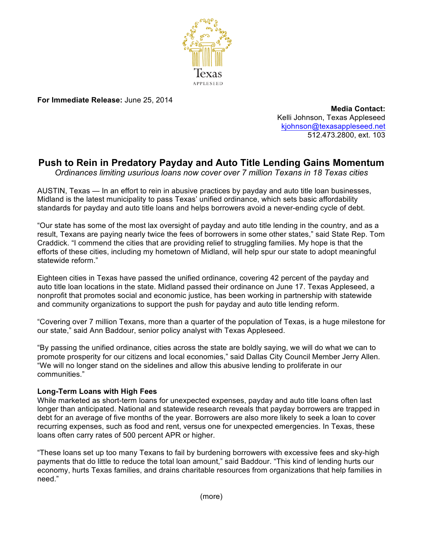

**For Immediate Release:** June 25, 2014

**Media Contact:** Kelli Johnson, Texas Appleseed kjohnson@texasappleseed.net 512.473.2800, ext. 103

# **Push to Rein in Predatory Payday and Auto Title Lending Gains Momentum**

*Ordinances limiting usurious loans now cover over 7 million Texans in 18 Texas cities* 

AUSTIN, Texas — In an effort to rein in abusive practices by payday and auto title loan businesses, Midland is the latest municipality to pass Texas' unified ordinance, which sets basic affordability standards for payday and auto title loans and helps borrowers avoid a never-ending cycle of debt.

"Our state has some of the most lax oversight of payday and auto title lending in the country, and as a result, Texans are paying nearly twice the fees of borrowers in some other states," said State Rep. Tom Craddick. "I commend the cities that are providing relief to struggling families. My hope is that the efforts of these cities, including my hometown of Midland, will help spur our state to adopt meaningful statewide reform."

Eighteen cities in Texas have passed the unified ordinance, covering 42 percent of the payday and auto title loan locations in the state. Midland passed their ordinance on June 17. Texas Appleseed, a nonprofit that promotes social and economic justice, has been working in partnership with statewide and community organizations to support the push for payday and auto title lending reform.

"Covering over 7 million Texans, more than a quarter of the population of Texas, is a huge milestone for our state," said Ann Baddour, senior policy analyst with Texas Appleseed.

"By passing the unified ordinance, cities across the state are boldly saying, we will do what we can to promote prosperity for our citizens and local economies," said Dallas City Council Member Jerry Allen. "We will no longer stand on the sidelines and allow this abusive lending to proliferate in our communities."

## **Long-Term Loans with High Fees**

While marketed as short-term loans for unexpected expenses, payday and auto title loans often last longer than anticipated. National and statewide research reveals that payday borrowers are trapped in debt for an average of five months of the year. Borrowers are also more likely to seek a loan to cover recurring expenses, such as food and rent, versus one for unexpected emergencies. In Texas, these loans often carry rates of 500 percent APR or higher.

"These loans set up too many Texans to fail by burdening borrowers with excessive fees and sky-high payments that do little to reduce the total loan amount," said Baddour. "This kind of lending hurts our economy, hurts Texas families, and drains charitable resources from organizations that help families in need."